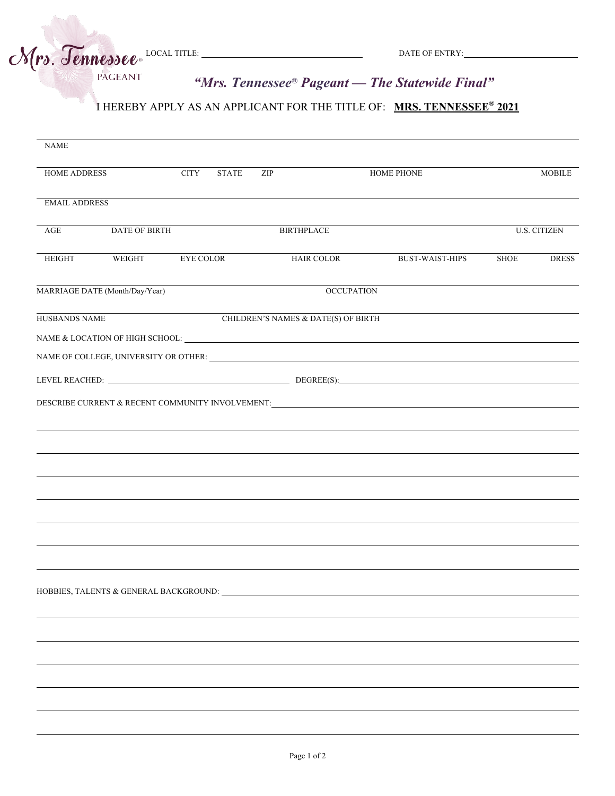$\mathcal{N}$ rs. Tennessee<sup>®</sup> LOCAL TITLE: DATE OF ENTRY:

PAGEANT

## *"Mrs. Tennessee® Pageant — The Statewide Final"*

## I HEREBY APPLY AS AN APPLICANT FOR THE TITLE OF: **MRS. TENNESSEE® 2021**

| $\overline{\text{NAME}}$       |        |                  |                   |                   |                                     |                                                                                   |                     |              |
|--------------------------------|--------|------------------|-------------------|-------------------|-------------------------------------|-----------------------------------------------------------------------------------|---------------------|--------------|
| <b>CITY</b><br>HOME ADDRESS    |        |                  | <b>STATE</b>      | ZIP               |                                     |                                                                                   | <b>MOBILE</b>       |              |
| <b>EMAIL ADDRESS</b>           |        |                  |                   |                   |                                     |                                                                                   |                     |              |
| <b>DATE OF BIRTH</b><br>AGE    |        |                  | <b>BIRTHPLACE</b> |                   |                                     |                                                                                   | <b>U.S. CITIZEN</b> |              |
| <b>HEIGHT</b>                  | WEIGHT | <b>EYE COLOR</b> |                   |                   | <b>HAIR COLOR</b>                   | <b>BUST-WAIST-HIPS</b>                                                            | SHOE                | <b>DRESS</b> |
| MARRIAGE DATE (Month/Day/Year) |        |                  |                   | <b>OCCUPATION</b> |                                     |                                                                                   |                     |              |
| HUSBANDS NAME                  |        |                  |                   |                   | CHILDREN'S NAMES & DATE(S) OF BIRTH |                                                                                   |                     |              |
|                                |        |                  |                   |                   |                                     |                                                                                   |                     |              |
|                                |        |                  |                   |                   |                                     |                                                                                   |                     |              |
|                                |        |                  |                   |                   |                                     |                                                                                   |                     |              |
|                                |        |                  |                   |                   |                                     | DESCRIBE CURRENT & RECENT COMMUNITY INVOLVEMENT:_________________________________ |                     |              |
|                                |        |                  |                   |                   |                                     |                                                                                   |                     |              |
|                                |        |                  |                   |                   |                                     |                                                                                   |                     |              |
|                                |        |                  |                   |                   |                                     |                                                                                   |                     |              |
|                                |        |                  |                   |                   |                                     |                                                                                   |                     |              |
|                                |        |                  |                   |                   |                                     |                                                                                   |                     |              |
|                                |        |                  |                   |                   |                                     |                                                                                   |                     |              |
|                                |        |                  |                   |                   |                                     |                                                                                   |                     |              |
|                                |        |                  |                   |                   |                                     |                                                                                   |                     |              |
|                                |        |                  |                   |                   |                                     |                                                                                   |                     |              |
|                                |        |                  |                   |                   |                                     |                                                                                   |                     |              |
|                                |        |                  |                   |                   |                                     |                                                                                   |                     |              |
|                                |        |                  |                   |                   |                                     |                                                                                   |                     |              |
|                                |        |                  |                   |                   |                                     |                                                                                   |                     |              |
|                                |        |                  |                   |                   |                                     |                                                                                   |                     |              |
|                                |        |                  |                   |                   |                                     |                                                                                   |                     |              |
|                                |        |                  |                   |                   |                                     |                                                                                   |                     |              |